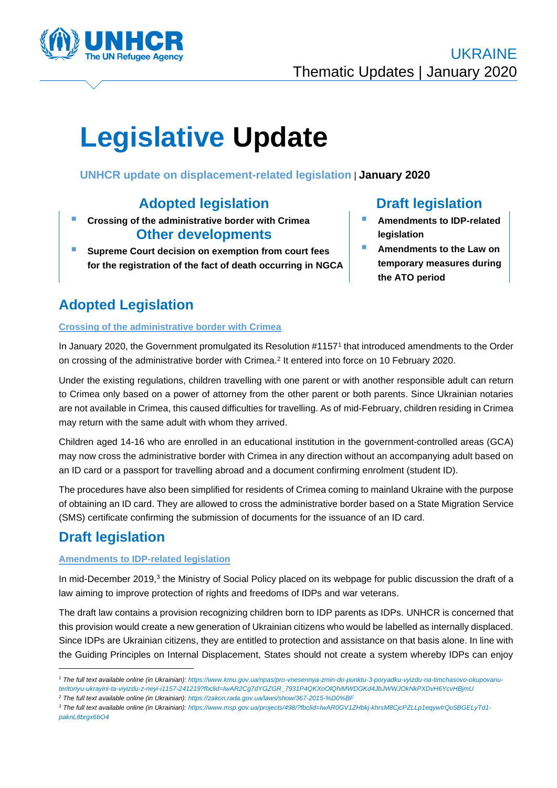

# **Legislative Update**

# **UNHCR update on displacement-related legislation** | **January 2020**

# **Adopted legislation Draft legislation**

- **Crossing of the administrative border with Crimea Other developments**
- **Supreme Court decision on exemption from court fees for the registration of the fact of death occurring in NGCA**

- **Amendments to IDP-related legislation**
- **Amendments to the Law on temporary measures during the ATO period**

# **Adopted Legislation**

#### **Crossing of the administrative border with Crimea**

In January 2020, the Government promulgated its Resolution #1157<sup>1</sup> that introduced amendments to the Order on crossing of the administrative border with Crimea.<sup>2</sup> It entered into force on 10 February 2020.

Under the existing regulations, children travelling with one parent or with another responsible adult can return to Crimea only based on a power of attorney from the other parent or both parents. Since Ukrainian notaries are not available in Crimea, this caused difficulties for travelling. As of mid-February, children residing in Crimea may return with the same adult with whom they arrived.

Children aged 14-16 who are enrolled in an educational institution in the government-controlled areas (GCA) may now cross the administrative border with Crimea in any direction without an accompanying adult based on an ID card or a passport for travelling abroad and a document confirming enrolment (student ID).

The procedures have also been simplified for residents of Crimea coming to mainland Ukraine with the purpose of obtaining an ID card. They are allowed to cross the administrative border based on a State Migration Service (SMS) certificate confirming the submission of documents for the issuance of an ID card.

# **Draft legislation**

### **Amendments to IDP-related legislation**

In mid-December 2019,<sup>3</sup> the Ministry of Social Policy placed on its webpage for public discussion the draft of a law aiming to improve protection of rights and freedoms of IDPs and war veterans.

The draft law contains a provision recognizing children born to IDP parents as IDPs. UNHCR is concerned that this provision would create a new generation of Ukrainian citizens who would be labelled as internally displaced. Since IDPs are Ukrainian citizens, they are entitled to protection and assistance on that basis alone. In line with the Guiding Principles on Internal Displacement, States should not create a system whereby IDPs can enjoy

- *<sup>2</sup> The full text available online (in Ukrainian): <https://zakon.rada.gov.ua/laws/show/367-2015-%D0%BF>*
- *<sup>3</sup> The full text available online (in Ukrainian): [https://www.msp.gov.ua/projects/498/?fbclid=IwAR0GV1ZHbkj-khrsM8CjcPZLLp1eqywIrQo5BGELyTd1](https://www.msp.gov.ua/projects/498/?fbclid=IwAR0GV1ZHbkj-khrsM8CjcPZLLp1eqywIrQo5BGELyTd1-paknL8brgx6bO4) [paknL8brgx6bO4](https://www.msp.gov.ua/projects/498/?fbclid=IwAR0GV1ZHbkj-khrsM8CjcPZLLp1eqywIrQo5BGELyTd1-paknL8brgx6bO4)*

*<sup>1</sup> The full text available online (in Ukrainian)[: https://www.kmu.gov.ua/npas/pro-vnesennya-zmin-do-punktu-3-poryadku-vyizdu-na-timchasovo-okupovanu](https://www.kmu.gov.ua/npas/pro-vnesennya-zmin-do-punktu-3-poryadku-vyizdu-na-timchasovo-okupovanu-teritoriyu-ukrayini-ta-viyizdu-z-neyi-i1157-241219?fbclid=IwAR2Cg7dYGZGR_7931P4QKXoOlQhiMWDGKd4JbJWWJOkNkPXDvH6YcvHBjmU)[teritoriyu-ukrayini-ta-viyizdu-z-neyi-i1157-241219?fbclid=IwAR2Cg7dYGZGR\\_7931P4QKXoOlQhiMWDGKd4JbJWWJOkNkPXDvH6YcvHBjmU](https://www.kmu.gov.ua/npas/pro-vnesennya-zmin-do-punktu-3-poryadku-vyizdu-na-timchasovo-okupovanu-teritoriyu-ukrayini-ta-viyizdu-z-neyi-i1157-241219?fbclid=IwAR2Cg7dYGZGR_7931P4QKXoOlQhiMWDGKd4JbJWWJOkNkPXDvH6YcvHBjmU)*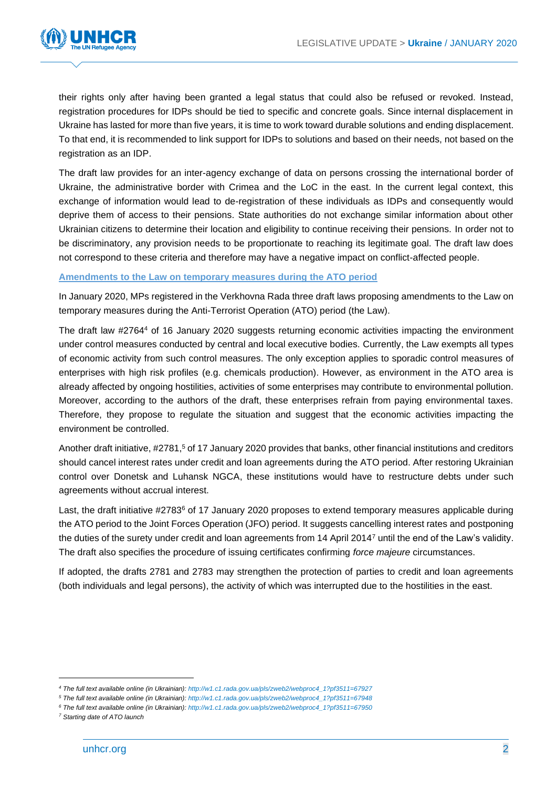

their rights only after having been granted a legal status that could also be refused or revoked. Instead, registration procedures for IDPs should be tied to specific and concrete goals. Since internal displacement in Ukraine has lasted for more than five years, it is time to work toward durable solutions and ending displacement. To that end, it is recommended to link support for IDPs to solutions and based on their needs, not based on the registration as an IDP.

The draft law provides for an inter-agency exchange of data on persons crossing the international border of Ukraine, the administrative border with Crimea and the LoC in the east. In the current legal context, this exchange of information would lead to de-registration of these individuals as IDPs and consequently would deprive them of access to their pensions. State authorities do not exchange similar information about other Ukrainian citizens to determine their location and eligibility to continue receiving their pensions. In order not to be discriminatory, any provision needs to be proportionate to reaching its legitimate goal. The draft law does not correspond to these criteria and therefore may have a negative impact on conflict-affected people.

#### **Amendments to the Law on temporary measures during the ATO period**

In January 2020, MPs registered in the Verkhovna Rada three draft laws proposing amendments to the Law on temporary measures during the Anti-Terrorist Operation (ATO) period (the Law).

The draft law #2764<sup>4</sup> of 16 January 2020 suggests returning economic activities impacting the environment under control measures conducted by central and local executive bodies. Currently, the Law exempts all types of economic activity from such control measures. The only exception applies to sporadic control measures of enterprises with high risk profiles (e.g. chemicals production). However, as environment in the ATO area is already affected by ongoing hostilities, activities of some enterprises may contribute to environmental pollution. Moreover, according to the authors of the draft, these enterprises refrain from paying environmental taxes. Therefore, they propose to regulate the situation and suggest that the economic activities impacting the environment be controlled.

Another draft initiative, #2781,<sup>5</sup> of 17 January 2020 provides that banks, other financial institutions and creditors should cancel interest rates under credit and loan agreements during the ATO period. After restoring Ukrainian control over Donetsk and Luhansk NGCA, these institutions would have to restructure debts under such agreements without accrual interest.

Last, the draft initiative #2783<sup>6</sup> of 17 January 2020 proposes to extend temporary measures applicable during the ATO period to the Joint Forces Operation (JFO) period. It suggests cancelling interest rates and postponing the duties of the surety under credit and loan agreements from 14 April 2014<sup>7</sup> until the end of the Law's validity. The draft also specifies the procedure of issuing certificates confirming *force majeure* circumstances.

If adopted, the drafts 2781 and 2783 may strengthen the protection of parties to credit and loan agreements (both individuals and legal persons), the activity of which was interrupted due to the hostilities in the east.

*<sup>4</sup> The full text available online (in Ukrainian): [http://w1.c1.rada.gov.ua/pls/zweb2/webproc4\\_1?pf3511=67927](http://w1.c1.rada.gov.ua/pls/zweb2/webproc4_1?pf3511=67927)*

*<sup>5</sup> The full text available online (in Ukrainian): [http://w1.c1.rada.gov.ua/pls/zweb2/webproc4\\_1?pf3511=67948](http://w1.c1.rada.gov.ua/pls/zweb2/webproc4_1?pf3511=67948)*

*<sup>6</sup> The full text available online (in Ukrainian): [http://w1.c1.rada.gov.ua/pls/zweb2/webproc4\\_1?pf3511=67950](http://w1.c1.rada.gov.ua/pls/zweb2/webproc4_1?pf3511=67950)*

*<sup>7</sup> Starting date of ATO launch*